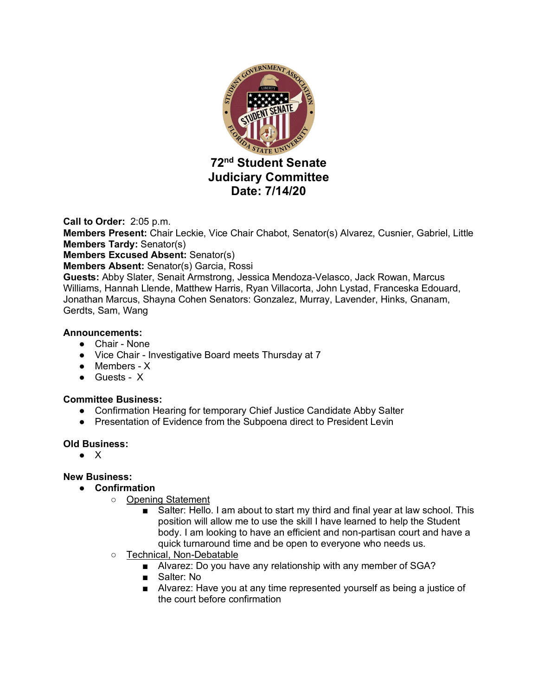

**Call to Order:** 2:05 p.m. **Members Present:** Chair Leckie, Vice Chair Chabot, Senator(s) Alvarez, Cusnier, Gabriel, Little **Members Tardy:** Senator(s) **Members Excused Absent:** Senator(s) **Members Absent:** Senator(s) Garcia, Rossi **Guests:** Abby Slater, Senait Armstrong, Jessica Mendoza-Velasco, Jack Rowan, Marcus Williams, Hannah Llende, Matthew Harris, Ryan Villacorta, John Lystad, Franceska Edouard, Jonathan Marcus, Shayna Cohen Senators: Gonzalez, Murray, Lavender, Hinks, Gnanam,

Gerdts, Sam, Wang

#### **Announcements:**

- Chair None
- Vice Chair Investigative Board meets Thursday at 7
- Members X
- Guests X

#### **Committee Business:**

- Confirmation Hearing for temporary Chief Justice Candidate Abby Salter
- Presentation of Evidence from the Subpoena direct to President Levin

#### **Old Business:**

● X

#### **New Business:**

- **Confirmation**
	- Opening Statement
		- Salter: Hello. I am about to start my third and final year at law school. This position will allow me to use the skill I have learned to help the Student body. I am looking to have an efficient and non-partisan court and have a quick turnaround time and be open to everyone who needs us.
	- o Technical, Non-Debatable
		- Alvarez: Do you have any relationship with any member of SGA?
		- Salter: No
		- Alvarez: Have you at any time represented yourself as being a justice of the court before confirmation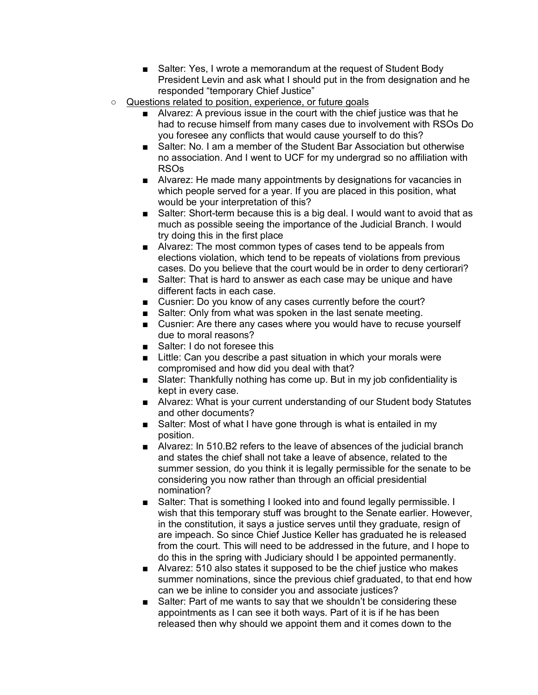- Salter: Yes, I wrote a memorandum at the request of Student Body President Levin and ask what I should put in the from designation and he responded "temporary Chief Justice"
- Questions related to position, experience, or future goals
	- Alvarez: A previous issue in the court with the chief justice was that he had to recuse himself from many cases due to involvement with RSOs Do you foresee any conflicts that would cause yourself to do this?
	- Salter: No. I am a member of the Student Bar Association but otherwise no association. And I went to UCF for my undergrad so no affiliation with RSOs
	- Alvarez: He made many appointments by designations for vacancies in which people served for a year. If you are placed in this position, what would be your interpretation of this?
	- Salter: Short-term because this is a big deal. I would want to avoid that as much as possible seeing the importance of the Judicial Branch. I would try doing this in the first place
	- Alvarez: The most common types of cases tend to be appeals from elections violation, which tend to be repeats of violations from previous cases. Do you believe that the court would be in order to deny certiorari?
	- Salter: That is hard to answer as each case may be unique and have different facts in each case.
	- Cusnier: Do you know of any cases currently before the court?
	- Salter: Only from what was spoken in the last senate meeting.
	- Cusnier: Are there any cases where you would have to recuse yourself due to moral reasons?
	- Salter: I do not foresee this
	- Little: Can you describe a past situation in which your morals were compromised and how did you deal with that?
	- Slater: Thankfully nothing has come up. But in my job confidentiality is kept in every case.
	- Alvarez: What is your current understanding of our Student body Statutes and other documents?
	- Salter: Most of what I have gone through is what is entailed in my position.
	- Alvarez: In 510.B2 refers to the leave of absences of the judicial branch and states the chief shall not take a leave of absence, related to the summer session, do you think it is legally permissible for the senate to be considering you now rather than through an official presidential nomination?
	- Salter: That is something I looked into and found legally permissible. I wish that this temporary stuff was brought to the Senate earlier. However, in the constitution, it says a justice serves until they graduate, resign of are impeach. So since Chief Justice Keller has graduated he is released from the court. This will need to be addressed in the future, and I hope to do this in the spring with Judiciary should I be appointed permanently.
	- Alvarez: 510 also states it supposed to be the chief justice who makes summer nominations, since the previous chief graduated, to that end how can we be inline to consider you and associate justices?
	- Salter: Part of me wants to say that we shouldn't be considering these appointments as I can see it both ways. Part of it is if he has been released then why should we appoint them and it comes down to the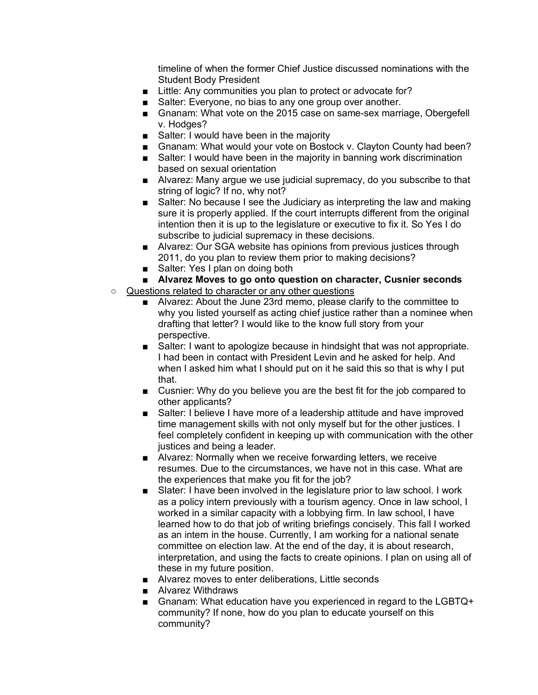timeline of when the former Chief Justice discussed nominations with the Student Body President

- Little: Any communities you plan to protect or advocate for?
- Salter: Everyone, no bias to any one group over another.
- Gnanam: What vote on the 2015 case on same-sex marriage, Obergefell v. Hodges?
- Salter: I would have been in the majority
- Gnanam: What would your vote on Bostock v. Clayton County had been?
- Salter: I would have been in the majority in banning work discrimination based on sexual orientation
- Alvarez: Many argue we use judicial supremacy, do you subscribe to that string of logic? If no, why not?
- Salter: No because I see the Judiciary as interpreting the law and making sure it is properly applied. If the court interrupts different from the original intention then it is up to the legislature or executive to fix it. So Yes I do subscribe to judicial supremacy in these decisions.
- Alvarez: Our SGA website has opinions from previous justices through 2011, do you plan to review them prior to making decisions?
- Salter: Yes I plan on doing both
- **Alvarez Moves to go onto question on character, Cusnier seconds**
- Questions related to character or any other questions
	- Alvarez: About the June 23rd memo, please clarify to the committee to why you listed yourself as acting chief justice rather than a nominee when drafting that letter? I would like to the know full story from your perspective.
	- Salter: I want to apologize because in hindsight that was not appropriate. I had been in contact with President Levin and he asked for help. And when I asked him what I should put on it he said this so that is why I put that.
	- Cusnier: Why do you believe you are the best fit for the job compared to other applicants?
	- Salter: I believe I have more of a leadership attitude and have improved time management skills with not only myself but for the other justices. I feel completely confident in keeping up with communication with the other justices and being a leader.
	- Alvarez: Normally when we receive forwarding letters, we receive resumes. Due to the circumstances, we have not in this case. What are the experiences that make you fit for the job?
	- Slater: I have been involved in the legislature prior to law school. I work as a policy intern previously with a tourism agency. Once in law school, I worked in a similar capacity with a lobbying firm. In law school, I have learned how to do that job of writing briefings concisely. This fall I worked as an intern in the house. Currently, I am working for a national senate committee on election law. At the end of the day, it is about research, interpretation, and using the facts to create opinions. I plan on using all of these in my future position.
	- Alvarez moves to enter deliberations, Little seconds
	- Alvarez Withdraws
	- Gnanam: What education have you experienced in regard to the LGBTQ+ community? If none, how do you plan to educate yourself on this community?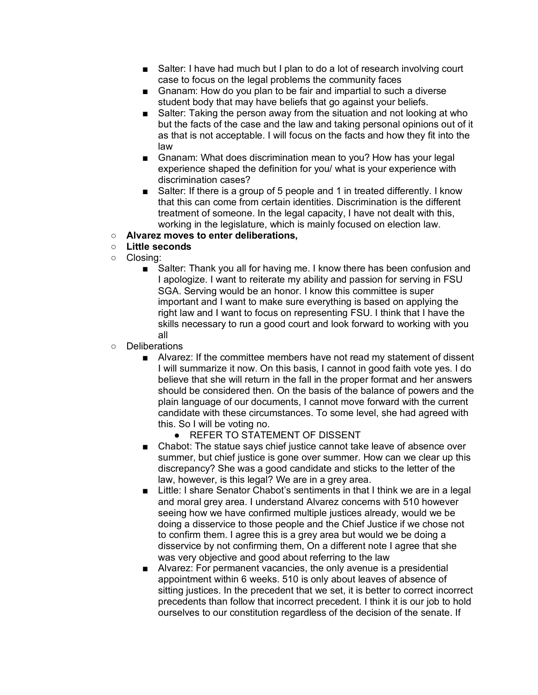- Salter: I have had much but I plan to do a lot of research involving court case to focus on the legal problems the community faces
- Gnanam: How do you plan to be fair and impartial to such a diverse student body that may have beliefs that go against your beliefs.
- Salter: Taking the person away from the situation and not looking at who but the facts of the case and the law and taking personal opinions out of it as that is not acceptable. I will focus on the facts and how they fit into the law
- Gnanam: What does discrimination mean to you? How has your legal experience shaped the definition for you/ what is your experience with discrimination cases?
- Salter: If there is a group of 5 people and 1 in treated differently. I know that this can come from certain identities. Discrimination is the different treatment of someone. In the legal capacity, I have not dealt with this, working in the legislature, which is mainly focused on election law.
- **Alvarez moves to enter deliberations,**
- **Little seconds**
- Closing:
	- Salter: Thank you all for having me. I know there has been confusion and I apologize. I want to reiterate my ability and passion for serving in FSU SGA. Serving would be an honor. I know this committee is super important and I want to make sure everything is based on applying the right law and I want to focus on representing FSU. I think that I have the skills necessary to run a good court and look forward to working with you all
- Deliberations
	- Alvarez: If the committee members have not read my statement of dissent I will summarize it now. On this basis, I cannot in good faith vote yes. I do believe that she will return in the fall in the proper format and her answers should be considered then. On the basis of the balance of powers and the plain language of our documents, I cannot move forward with the current candidate with these circumstances. To some level, she had agreed with this. So I will be voting no.
		- REFER TO STATEMENT OF DISSENT
	- Chabot: The statue says chief justice cannot take leave of absence over summer, but chief justice is gone over summer. How can we clear up this discrepancy? She was a good candidate and sticks to the letter of the law, however, is this legal? We are in a grey area.
	- Little: I share Senator Chabot's sentiments in that I think we are in a legal and moral grey area. I understand Alvarez concerns with 510 however seeing how we have confirmed multiple justices already, would we be doing a disservice to those people and the Chief Justice if we chose not to confirm them. I agree this is a grey area but would we be doing a disservice by not confirming them, On a different note I agree that she was very objective and good about referring to the law
	- Alvarez: For permanent vacancies, the only avenue is a presidential appointment within 6 weeks. 510 is only about leaves of absence of sitting justices. In the precedent that we set, it is better to correct incorrect precedents than follow that incorrect precedent. I think it is our job to hold ourselves to our constitution regardless of the decision of the senate. If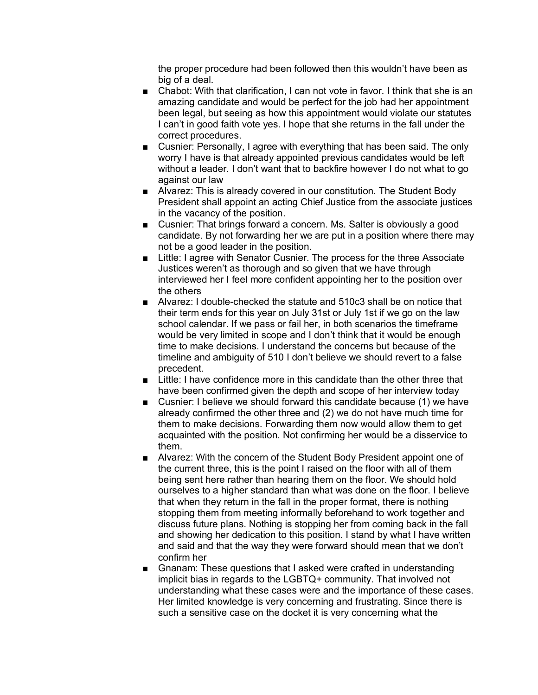the proper procedure had been followed then this wouldn't have been as big of a deal.

- Chabot: With that clarification, I can not vote in favor. I think that she is an amazing candidate and would be perfect for the job had her appointment been legal, but seeing as how this appointment would violate our statutes I can't in good faith vote yes. I hope that she returns in the fall under the correct procedures.
- Cusnier: Personally, I agree with everything that has been said. The only worry I have is that already appointed previous candidates would be left without a leader. I don't want that to backfire however I do not what to go against our law
- Alvarez: This is already covered in our constitution. The Student Body President shall appoint an acting Chief Justice from the associate justices in the vacancy of the position.
- Cusnier: That brings forward a concern. Ms. Salter is obviously a good candidate. By not forwarding her we are put in a position where there may not be a good leader in the position.
- Little: I agree with Senator Cusnier. The process for the three Associate Justices weren't as thorough and so given that we have through interviewed her I feel more confident appointing her to the position over the others
- Alvarez: I double-checked the statute and 510c3 shall be on notice that their term ends for this year on July 31st or July 1st if we go on the law school calendar. If we pass or fail her, in both scenarios the timeframe would be very limited in scope and I don't think that it would be enough time to make decisions. I understand the concerns but because of the timeline and ambiguity of 510 I don't believe we should revert to a false precedent.
- Little: I have confidence more in this candidate than the other three that have been confirmed given the depth and scope of her interview today
- Cusnier: I believe we should forward this candidate because (1) we have already confirmed the other three and (2) we do not have much time for them to make decisions. Forwarding them now would allow them to get acquainted with the position. Not confirming her would be a disservice to them.
- Alvarez: With the concern of the Student Body President appoint one of the current three, this is the point I raised on the floor with all of them being sent here rather than hearing them on the floor. We should hold ourselves to a higher standard than what was done on the floor. I believe that when they return in the fall in the proper format, there is nothing stopping them from meeting informally beforehand to work together and discuss future plans. Nothing is stopping her from coming back in the fall and showing her dedication to this position. I stand by what I have written and said and that the way they were forward should mean that we don't confirm her
- Gnanam: These questions that I asked were crafted in understanding implicit bias in regards to the LGBTQ+ community. That involved not understanding what these cases were and the importance of these cases. Her limited knowledge is very concerning and frustrating. Since there is such a sensitive case on the docket it is very concerning what the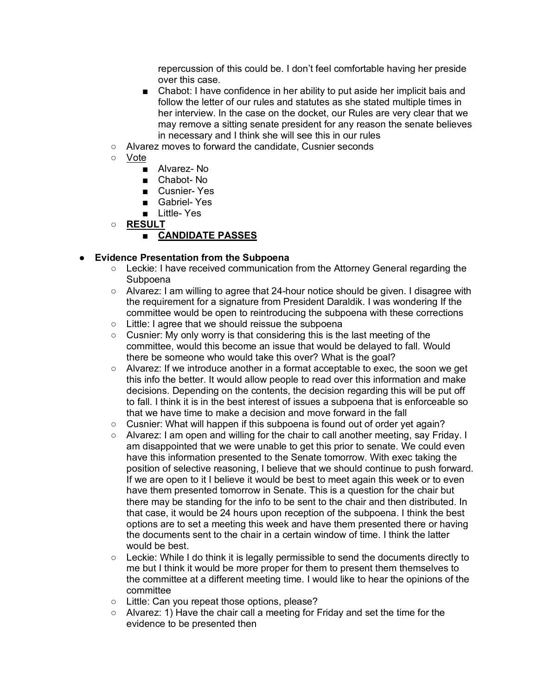repercussion of this could be. I don't feel comfortable having her preside over this case.

- Chabot: I have confidence in her ability to put aside her implicit bais and follow the letter of our rules and statutes as she stated multiple times in her interview. In the case on the docket, our Rules are very clear that we may remove a sitting senate president for any reason the senate believes in necessary and I think she will see this in our rules
- Alvarez moves to forward the candidate, Cusnier seconds
- Vote
	- Alvarez- No
	- Chabot- No
	- Cusnier- Yes
	- Gabriel- Yes
	- Little- Yes
- **RESULT**

# ■ **CANDIDATE PASSES**

# ● **Evidence Presentation from the Subpoena**

- Leckie: I have received communication from the Attorney General regarding the Subpoena
- Alvarez: I am willing to agree that 24-hour notice should be given. I disagree with the requirement for a signature from President Daraldik. I was wondering If the committee would be open to reintroducing the subpoena with these corrections
- Little: I agree that we should reissue the subpoena
- Cusnier: My only worry is that considering this is the last meeting of the committee, would this become an issue that would be delayed to fall. Would there be someone who would take this over? What is the goal?
- Alvarez: If we introduce another in a format acceptable to exec, the soon we get this info the better. It would allow people to read over this information and make decisions. Depending on the contents, the decision regarding this will be put off to fall. I think it is in the best interest of issues a subpoena that is enforceable so that we have time to make a decision and move forward in the fall
- Cusnier: What will happen if this subpoena is found out of order yet again?
- Alvarez: I am open and willing for the chair to call another meeting, say Friday. I am disappointed that we were unable to get this prior to senate. We could even have this information presented to the Senate tomorrow. With exec taking the position of selective reasoning, I believe that we should continue to push forward. If we are open to it I believe it would be best to meet again this week or to even have them presented tomorrow in Senate. This is a question for the chair but there may be standing for the info to be sent to the chair and then distributed. In that case, it would be 24 hours upon reception of the subpoena. I think the best options are to set a meeting this week and have them presented there or having the documents sent to the chair in a certain window of time. I think the latter would be best.
- $\circ$  Leckie: While I do think it is legally permissible to send the documents directly to me but I think it would be more proper for them to present them themselves to the committee at a different meeting time. I would like to hear the opinions of the committee
- Little: Can you repeat those options, please?
- Alvarez: 1) Have the chair call a meeting for Friday and set the time for the evidence to be presented then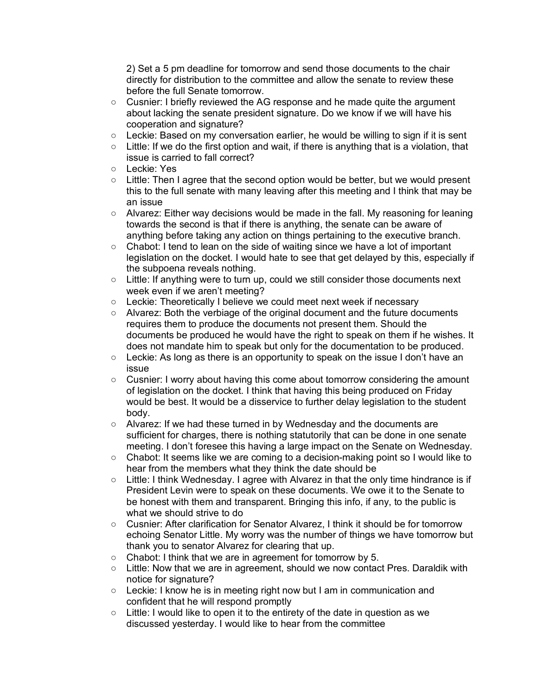2) Set a 5 pm deadline for tomorrow and send those documents to the chair directly for distribution to the committee and allow the senate to review these before the full Senate tomorrow.

- Cusnier: I briefly reviewed the AG response and he made quite the argument about lacking the senate president signature. Do we know if we will have his cooperation and signature?
- Leckie: Based on my conversation earlier, he would be willing to sign if it is sent
- $\circ$  Little: If we do the first option and wait, if there is anything that is a violation, that issue is carried to fall correct?
- Leckie: Yes
- $\circ$  Little: Then I agree that the second option would be better, but we would present this to the full senate with many leaving after this meeting and I think that may be an issue
- $\circ$  Alvarez: Either way decisions would be made in the fall. My reasoning for leaning towards the second is that if there is anything, the senate can be aware of anything before taking any action on things pertaining to the executive branch.
- Chabot: I tend to lean on the side of waiting since we have a lot of important legislation on the docket. I would hate to see that get delayed by this, especially if the subpoena reveals nothing.
- Little: If anything were to turn up, could we still consider those documents next week even if we aren't meeting?
- Leckie: Theoretically I believe we could meet next week if necessary
- Alvarez: Both the verbiage of the original document and the future documents requires them to produce the documents not present them. Should the documents be produced he would have the right to speak on them if he wishes. It does not mandate him to speak but only for the documentation to be produced.
- Leckie: As long as there is an opportunity to speak on the issue I don't have an issue
- Cusnier: I worry about having this come about tomorrow considering the amount of legislation on the docket. I think that having this being produced on Friday would be best. It would be a disservice to further delay legislation to the student body.
- Alvarez: If we had these turned in by Wednesday and the documents are sufficient for charges, there is nothing statutorily that can be done in one senate meeting. I don't foresee this having a large impact on the Senate on Wednesday.
- Chabot: It seems like we are coming to a decision-making point so I would like to hear from the members what they think the date should be
- $\circ$  Little: I think Wednesday. I agree with Alvarez in that the only time hindrance is if President Levin were to speak on these documents. We owe it to the Senate to be honest with them and transparent. Bringing this info, if any, to the public is what we should strive to do
- Cusnier: After clarification for Senator Alvarez, I think it should be for tomorrow echoing Senator Little. My worry was the number of things we have tomorrow but thank you to senator Alvarez for clearing that up.
- Chabot: I think that we are in agreement for tomorrow by 5.
- Little: Now that we are in agreement, should we now contact Pres. Daraldik with notice for signature?
- Leckie: I know he is in meeting right now but I am in communication and confident that he will respond promptly
- Little: I would like to open it to the entirety of the date in question as we discussed yesterday. I would like to hear from the committee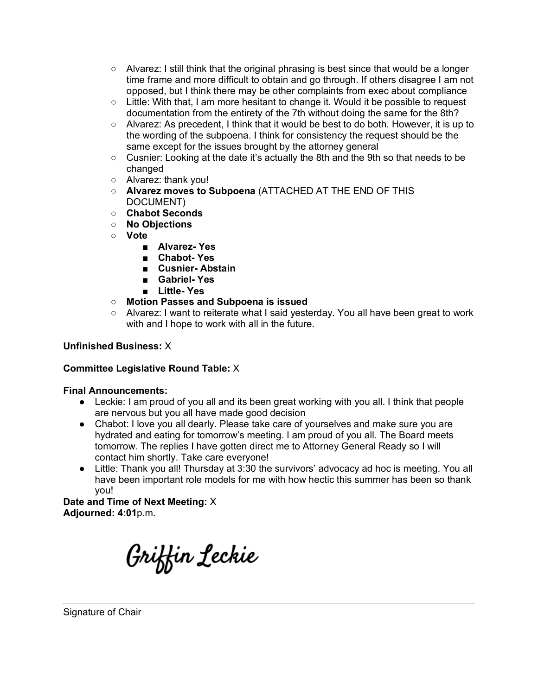- $\circ$  Alvarez: I still think that the original phrasing is best since that would be a longer time frame and more difficult to obtain and go through. If others disagree I am not opposed, but I think there may be other complaints from exec about compliance
- Little: With that, I am more hesitant to change it. Would it be possible to request documentation from the entirety of the 7th without doing the same for the 8th?
- $\circ$  Alvarez: As precedent, I think that it would be best to do both. However, it is up to the wording of the subpoena. I think for consistency the request should be the same except for the issues brought by the attorney general
- $\circ$  Cusnier: Looking at the date it's actually the 8th and the 9th so that needs to be changed
- Alvarez: thank you!
- **Alvarez moves to Subpoena** (ATTACHED AT THE END OF THIS DOCUMENT)
- **Chabot Seconds**
- **No Objections**
- **Vote**
	- **Alvarez- Yes**
	- **Chabot- Yes**
	- **Cusnier- Abstain**
	- **Gabriel- Yes**
	- **Little- Yes**
- **Motion Passes and Subpoena is issued**
- Alvarez: I want to reiterate what I said yesterday. You all have been great to work with and I hope to work with all in the future.

# **Unfinished Business:** X

## **Committee Legislative Round Table:** X

## **Final Announcements:**

- Leckie: I am proud of you all and its been great working with you all. I think that people are nervous but you all have made good decision
- Chabot: I love you all dearly. Please take care of yourselves and make sure you are hydrated and eating for tomorrow's meeting. I am proud of you all. The Board meets tomorrow. The replies I have gotten direct me to Attorney General Ready so I will contact him shortly. Take care everyone!
- Little: Thank you all! Thursday at 3:30 the survivors' advocacy ad hoc is meeting. You all have been important role models for me with how hectic this summer has been so thank you!

**Date and Time of Next Meeting:** X **Adjourned: 4:01**p.m.

Griffin Leckie